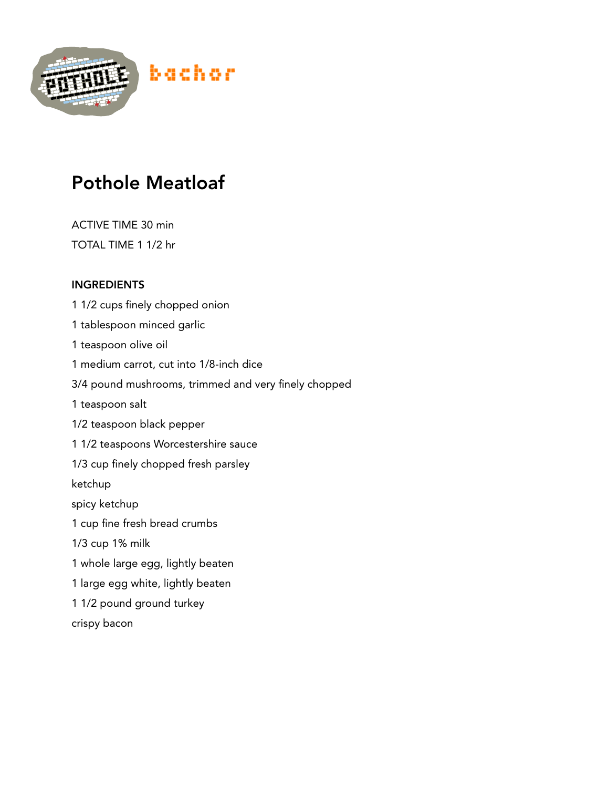

## Pothole Meatloaf

ACTIVE TIME 30 min TOTAL TIME 1 1/2 hr

## INGREDIENTS

1 1/2 cups finely chopped onion 1 tablespoon minced garlic 1 teaspoon olive oil 1 medium carrot, cut into 1/8-inch dice 3/4 pound mushrooms, trimmed and very finely chopped 1 teaspoon salt 1/2 teaspoon black pepper 1 1/2 teaspoons Worcestershire sauce 1/3 cup finely chopped fresh parsley ketchup spicy ketchup 1 cup fine fresh bread crumbs 1/3 cup 1% milk 1 whole large egg, lightly beaten 1 large egg white, lightly beaten 1 1/2 pound ground turkey crispy bacon